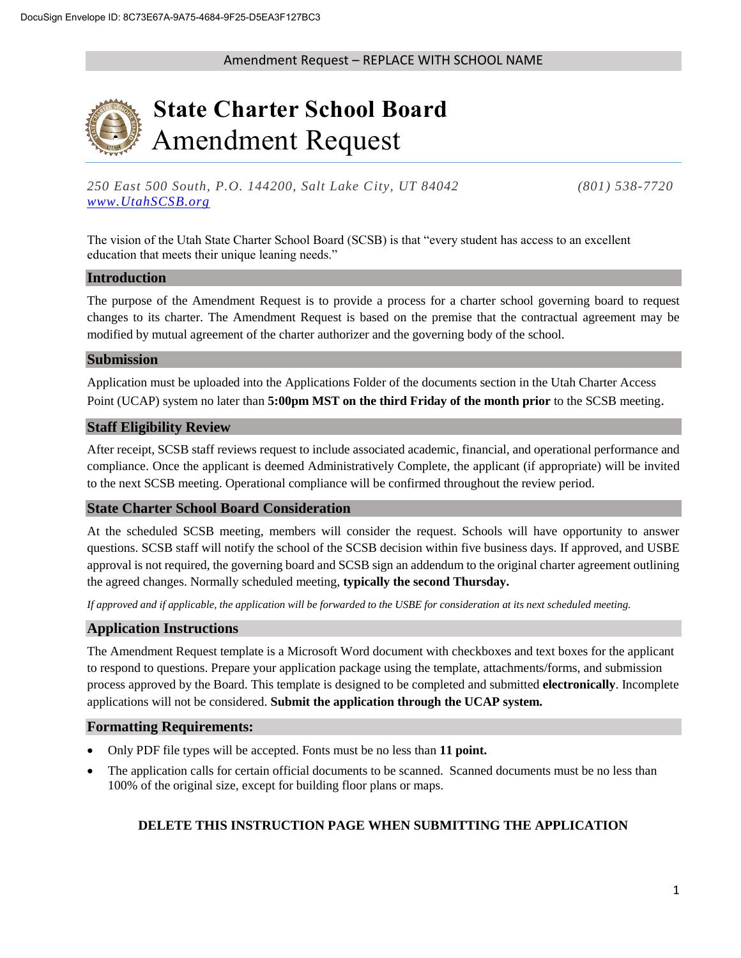

# **State Charter School Board** Amendment Request

*250 East 500 South, P.O. 144200, Salt Lake City, UT 84042 (801) 538-7720 [www.UtahSCSB.org](http://www.utahscsb.org/)*

The vision of the Utah State Charter School Board (SCSB) is that "every student has access to an excellent education that meets their unique leaning needs."

#### **Introduction**

The purpose of the Amendment Request is to provide a process for a charter school governing board to request changes to its charter. The Amendment Request is based on the premise that the contractual agreement may be modified by mutual agreement of the charter authorizer and the governing body of the school.

#### **Submission**

Application must be uploaded into the Applications Folder of the documents section in the Utah Charter Access Point (UCAP) system no later than **5:00pm MST on the third Friday of the month prior** to the SCSB meeting.

## **Staff Eligibility Review**

After receipt, SCSB staff reviews request to include associated academic, financial, and operational performance and compliance. Once the applicant is deemed Administratively Complete, the applicant (if appropriate) will be invited to the next SCSB meeting. Operational compliance will be confirmed throughout the review period.

#### **State Charter School Board Consideration**

At the scheduled SCSB meeting, members will consider the request. Schools will have opportunity to answer questions. SCSB staff will notify the school of the SCSB decision within five business days. If approved, and USBE approval is not required, the governing board and SCSB sign an addendum to the original charter agreement outlining the agreed changes. Normally scheduled meeting, **typically the second Thursday.**

*If approved and if applicable, the application will be forwarded to the USBE for consideration at its next scheduled meeting.*

## **Application Instructions**

The Amendment Request template is a Microsoft Word document with checkboxes and text boxes for the applicant to respond to questions. Prepare your application package using the template, attachments/forms, and submission process approved by the Board. This template is designed to be completed and submitted **electronically**. Incomplete applications will not be considered. **Submit the application through the UCAP system.**

#### **Formatting Requirements:**

- Only PDF file types will be accepted. Fonts must be no less than **11 point.**
- The application calls for certain official documents to be scanned. Scanned documents must be no less than 100% of the original size, except for building floor plans or maps.

## **DELETE THIS INSTRUCTION PAGE WHEN SUBMITTING THE APPLICATION**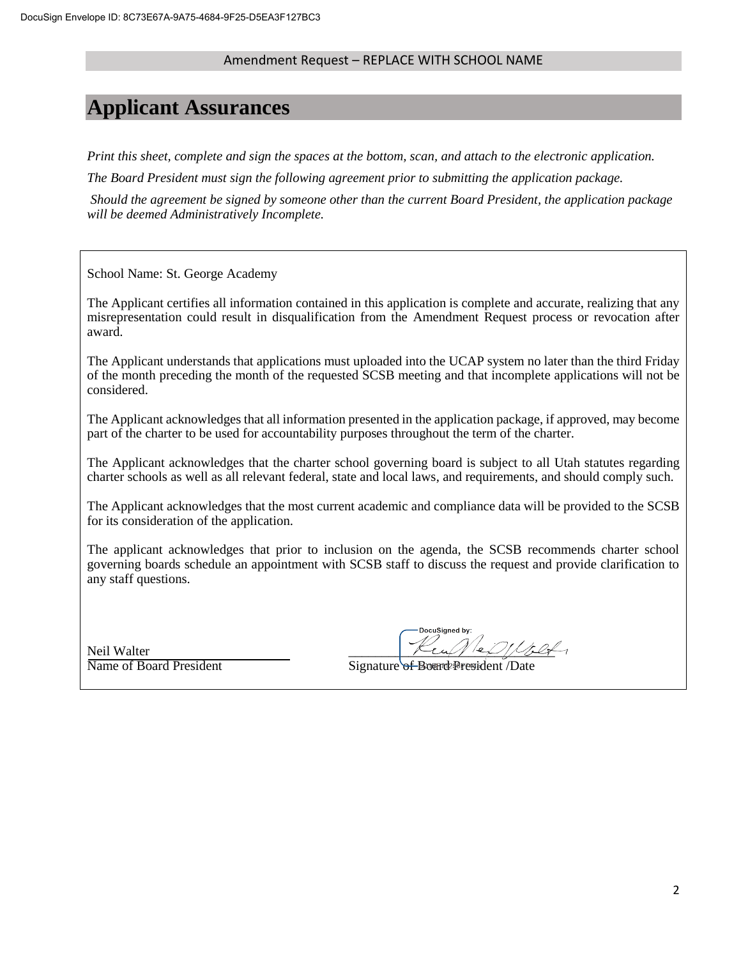## **Applicant Assurances**

*Print this sheet, complete and sign the spaces at the bottom, scan, and attach to the electronic application.* 

*The Board President must sign the following agreement prior to submitting the application package.*

*Should the agreement be signed by someone other than the current Board President, the application package will be deemed Administratively Incomplete.*

School Name: St. George Academy

The Applicant certifies all information contained in this application is complete and accurate, realizing that any misrepresentation could result in disqualification from the Amendment Request process or revocation after award.

The Applicant understands that applications must uploaded into the UCAP system no later than the third Friday of the month preceding the month of the requested SCSB meeting and that incomplete applications will not be considered.

The Applicant acknowledges that all information presented in the application package, if approved, may become part of the charter to be used for accountability purposes throughout the term of the charter.

The Applicant acknowledges that the charter school governing board is subject to all Utah statutes regarding charter schools as well as all relevant federal, state and local laws, and requirements, and should comply such.

The Applicant acknowledges that the most current academic and compliance data will be provided to the SCSB for its consideration of the application.

The applicant acknowledges that prior to inclusion on the agenda, the SCSB recommends charter school governing boards schedule an appointment with SCSB staff to discuss the request and provide clarification to any staff questions.

Neil Walter

DocuSigned by:

Name of Board President Signature of Board President /Date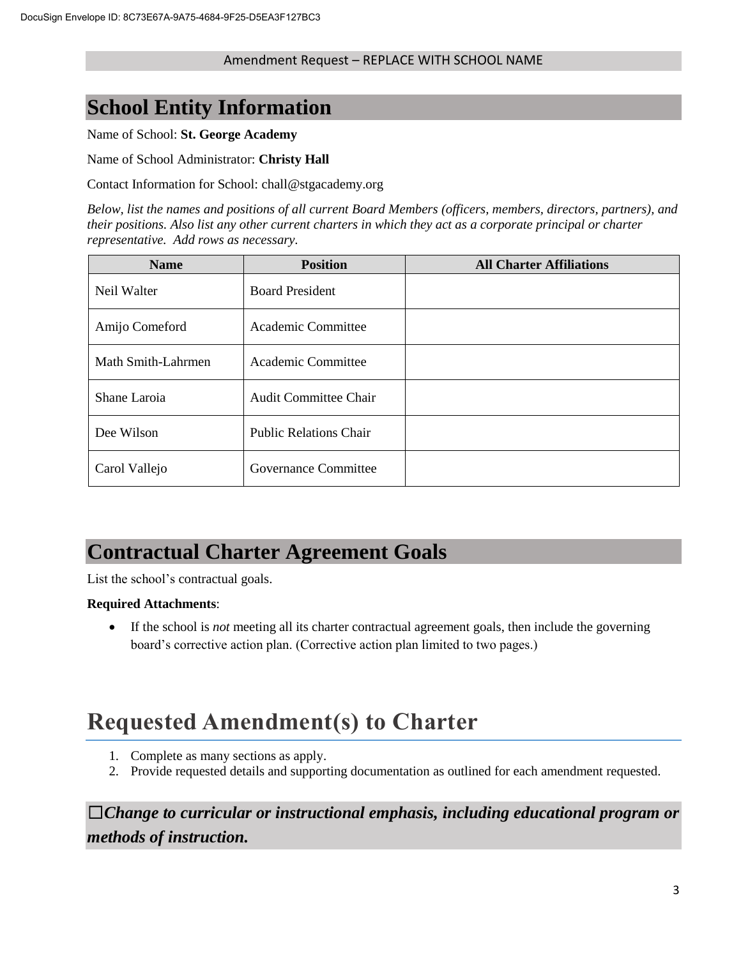## **School Entity Information**

Name of School: **St. George Academy**

Name of School Administrator: **Christy Hall**

Contact Information for School: chall@stgacademy.org

*Below, list the names and positions of all current Board Members (officers, members, directors, partners), and their positions. Also list any other current charters in which they act as a corporate principal or charter representative. Add rows as necessary.*

| <b>Name</b>        | <b>Position</b>               | <b>All Charter Affiliations</b> |
|--------------------|-------------------------------|---------------------------------|
| Neil Walter        | <b>Board President</b>        |                                 |
| Amijo Comeford     | Academic Committee            |                                 |
| Math Smith-Lahrmen | Academic Committee            |                                 |
| Shane Laroia       | <b>Audit Committee Chair</b>  |                                 |
| Dee Wilson         | <b>Public Relations Chair</b> |                                 |
| Carol Vallejo      | Governance Committee          |                                 |

## **Contractual Charter Agreement Goals**

List the school's contractual goals.

## **Required Attachments**:

 If the school is *not* meeting all its charter contractual agreement goals, then include the governing board's corrective action plan. (Corrective action plan limited to two pages.)

# **Requested Amendment(s) to Charter**

- 1. Complete as many sections as apply.
- 2. Provide requested details and supporting documentation as outlined for each amendment requested.

☐*Change to curricular or instructional emphasis, including educational program or methods of instruction.*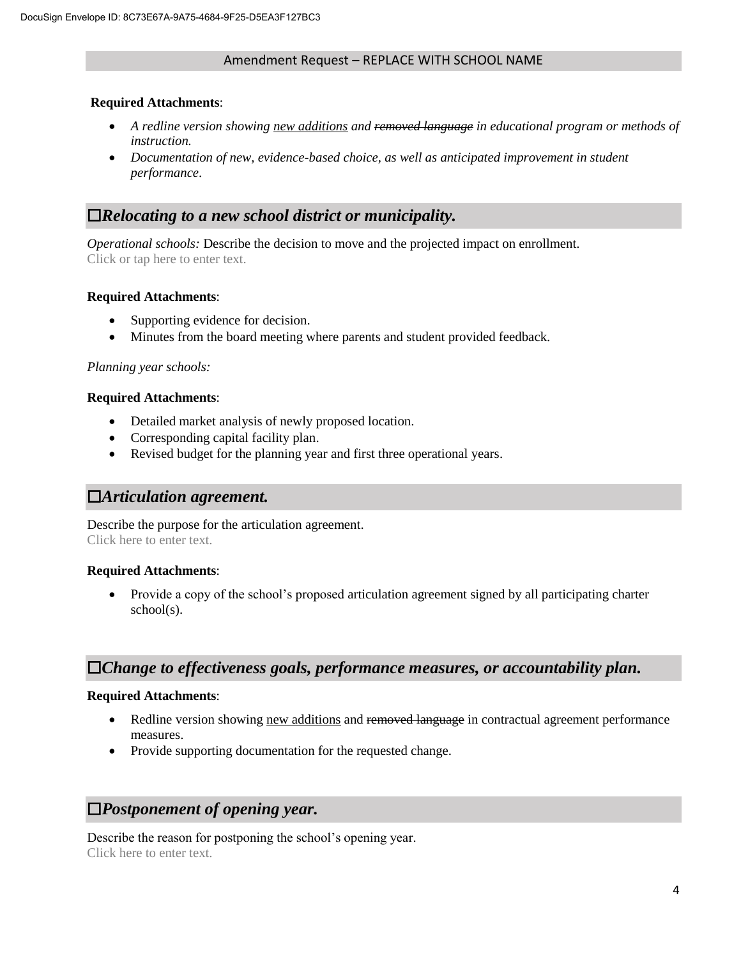## **Required Attachments**:

- *A redline version showing new additions and removed language in educational program or methods of instruction.*
- Documentation of new, evidence-based choice, as well as anticipated improvement in student *performance*.

## ☐*Relocating to a new school district or municipality.*

*Operational schools:* Describe the decision to move and the projected impact on enrollment. Click or tap here to enter text.

## **Required Attachments**:

- Supporting evidence for decision.
- Minutes from the board meeting where parents and student provided feedback.

## *Planning year schools:*

## **Required Attachments**:

- Detailed market analysis of newly proposed location.
- Corresponding capital facility plan.
- Revised budget for the planning year and first three operational years.

## ☐*Articulation agreement.*

Describe the purpose for the articulation agreement. Click here to enter text.

## **Required Attachments**:

• Provide a copy of the school's proposed articulation agreement signed by all participating charter school(s).

## ☐*Change to effectiveness goals, performance measures, or accountability plan.*

## **Required Attachments**:

- Redline version showing new additions and removed language in contractual agreement performance measures.
- Provide supporting documentation for the requested change.

## ☐*Postponement of opening year.*

Describe the reason for postponing the school's opening year. Click here to enter text.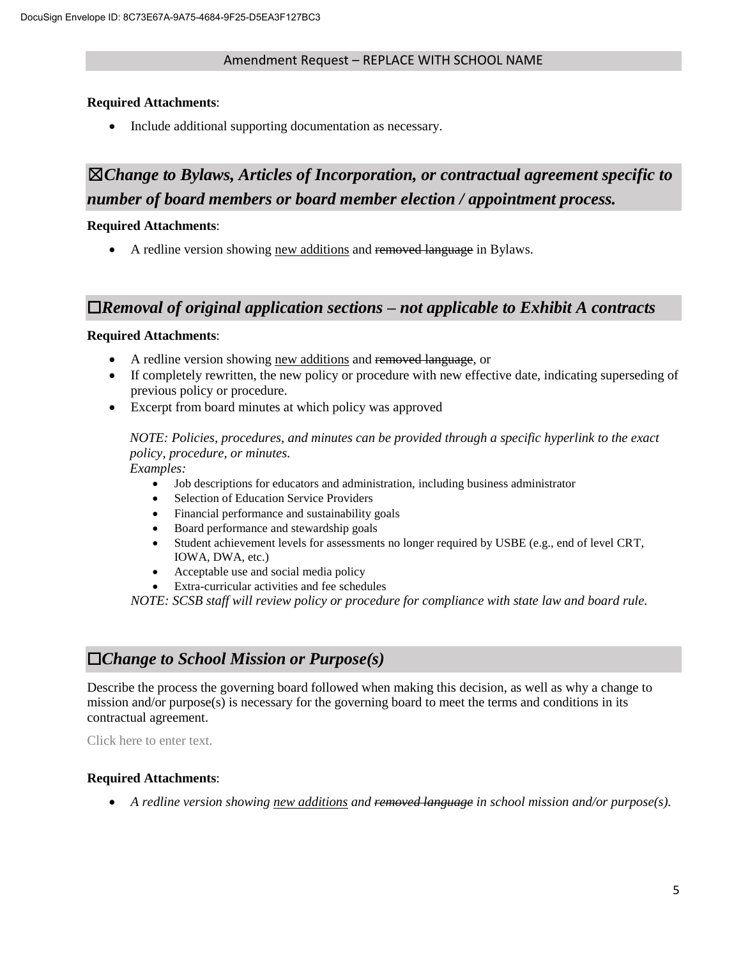## **Required Attachments**:

• Include additional supporting documentation as necessary.

## ☒*Change to Bylaws, Articles of Incorporation, or contractual agreement specific to number of board members or board member election / appointment process.*

## **Required Attachments**:

A redline version showing new additions and removed language in Bylaws.

## ☐*Removal of original application sections – not applicable to Exhibit A contracts*

## **Required Attachments**:

- A redline version showing new additions and removed language, or
- If completely rewritten, the new policy or procedure with new effective date, indicating superseding of previous policy or procedure.
- Excerpt from board minutes at which policy was approved

*NOTE: Policies, procedures, and minutes can be provided through a specific hyperlink to the exact policy, procedure, or minutes.* 

*Examples:* 

- Job descriptions for educators and administration, including business administrator
- Selection of Education Service Providers
- Financial performance and sustainability goals
- Board performance and stewardship goals
- Student achievement levels for assessments no longer required by USBE (e.g., end of level CRT, IOWA, DWA, etc.)
- Acceptable use and social media policy
- Extra-curricular activities and fee schedules

*NOTE: SCSB staff will review policy or procedure for compliance with state law and board rule.* 

## ☐*Change to School Mission or Purpose(s)*

Describe the process the governing board followed when making this decision, as well as why a change to mission and/or purpose(s) is necessary for the governing board to meet the terms and conditions in its contractual agreement.

Click here to enter text.

## **Required Attachments**:

*A redline version showing new additions and removed language in school mission and/or purpose(s).*